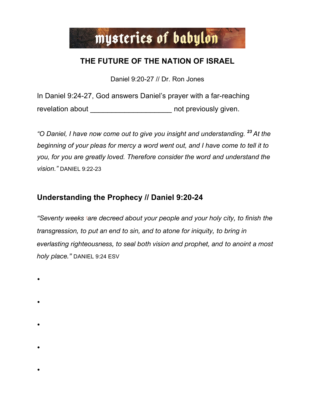# mysteries of babylon

# **THE FUTURE OF THE NATION OF ISRAEL**

Daniel 9:20-27 // Dr. Ron Jones

In Daniel 9:24-27, God answers Daniel's prayer with a far-reaching revelation about \_\_\_\_\_\_\_\_\_\_\_\_\_\_\_\_\_\_\_\_\_\_\_\_\_ not previously given.

*"O Daniel, I have now come out to give you insight and understanding. <sup>23</sup> At the beginning of your pleas for mercy a word went out, and I have come to tell it to you, for you are greatly loved. Therefore consider the word and understand the vision."* DANIEL 9:22-23

### **Understanding the Prophecy // Daniel 9:20-24**

*"Seventy weeks sare decreed about your people and your holy city, to finish the transgression, to put an end to sin, and to atone for iniquity, to bring in everlasting righteousness, to seal both vision and prophet, and to anoint a most holy place."* DANIEL 9:24 ESV

- $\bullet$
- $\bullet$
- 
- $\bullet$ 
	-
- $\bullet$
- $\bullet$ 
	-